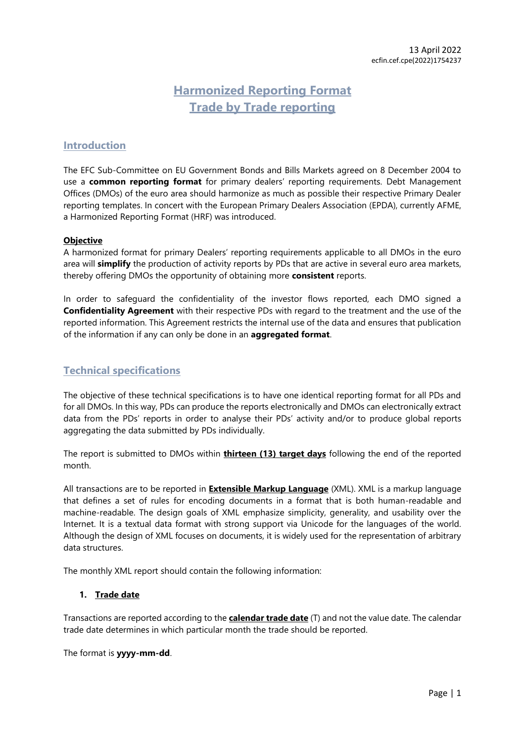## **Harmonized Reporting Format Trade by Trade reporting**

## **Introduction**

The EFC Sub-Committee on EU Government Bonds and Bills Markets agreed on 8 December 2004 to use a **common reporting format** for primary dealers' reporting requirements. Debt Management Offices (DMOs) of the euro area should harmonize as much as possible their respective Primary Dealer reporting templates. In concert with the European Primary Dealers Association (EPDA), currently AFME, a Harmonized Reporting Format (HRF) was introduced.

#### **Objective**

A harmonized format for primary Dealers' reporting requirements applicable to all DMOs in the euro area will **simplify** the production of activity reports by PDs that are active in several euro area markets, thereby offering DMOs the opportunity of obtaining more **consistent** reports.

In order to safeguard the confidentiality of the investor flows reported, each DMO signed a **Confidentiality Agreement** with their respective PDs with regard to the treatment and the use of the reported information. This Agreement restricts the internal use of the data and ensures that publication of the information if any can only be done in an **aggregated format**.

## **Technical specifications**

The objective of these technical specifications is to have one identical reporting format for all PDs and for all DMOs. In this way, PDs can produce the reports electronically and DMOs can electronically extract data from the PDs' reports in order to analyse their PDs' activity and/or to produce global reports aggregating the data submitted by PDs individually.

The report is submitted to DMOs within **thirteen (13) target days** following the end of the reported month.

All transactions are to be reported in **Extensible Markup Language** (XML). XML is a markup language that defines a set of rules for encoding documents in a format that is both human-readable and machine-readable. The design goals of XML emphasize simplicity, generality, and usability over the Internet. It is a textual data format with strong support via Unicode for the languages of the world. Although the design of XML focuses on documents, it is widely used for the representation of arbitrary data structures.

The monthly XML report should contain the following information:

#### **1. Trade date**

Transactions are reported according to the **calendar trade date** (T) and not the value date. The calendar trade date determines in which particular month the trade should be reported.

The format is **yyyy-mm-dd**.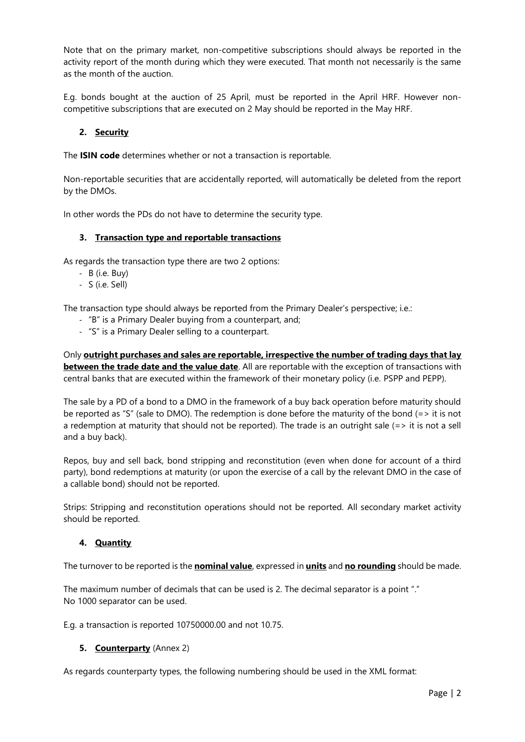Note that on the primary market, non-competitive subscriptions should always be reported in the activity report of the month during which they were executed. That month not necessarily is the same as the month of the auction.

E.g. bonds bought at the auction of 25 April, must be reported in the April HRF. However noncompetitive subscriptions that are executed on 2 May should be reported in the May HRF.

#### **2. Security**

The **ISIN code** determines whether or not a transaction is reportable.

Non-reportable securities that are accidentally reported, will automatically be deleted from the report by the DMOs.

In other words the PDs do not have to determine the security type.

#### **3. Transaction type and reportable transactions**

As regards the transaction type there are two 2 options:

- B (i.e. Buy)
- S (i.e. Sell)

The transaction type should always be reported from the Primary Dealer's perspective; i.e.:

- "B" is a Primary Dealer buying from a counterpart, and;
- "S" is a Primary Dealer selling to a counterpart.

Only **outright purchases and sales are reportable, irrespective the number of trading days that lay between the trade date and the value date**. All are reportable with the exception of transactions with central banks that are executed within the framework of their monetary policy (i.e. PSPP and PEPP).

The sale by a PD of a bond to a DMO in the framework of a buy back operation before maturity should be reported as "S" (sale to DMO). The redemption is done before the maturity of the bond (=> it is not a redemption at maturity that should not be reported). The trade is an outright sale  $(=)$  it is not a sell and a buy back).

Repos, buy and sell back, bond stripping and reconstitution (even when done for account of a third party), bond redemptions at maturity (or upon the exercise of a call by the relevant DMO in the case of a callable bond) should not be reported.

Strips: Stripping and reconstitution operations should not be reported. All secondary market activity should be reported.

#### **4. Quantity**

The turnover to be reported is the **nominal value**, expressed in **units** and **no rounding** should be made.

The maximum number of decimals that can be used is 2. The decimal separator is a point "." No 1000 separator can be used.

E.g. a transaction is reported 10750000.00 and not 10.75.

#### **5. Counterparty** (Annex 2)

As regards counterparty types, the following numbering should be used in the XML format: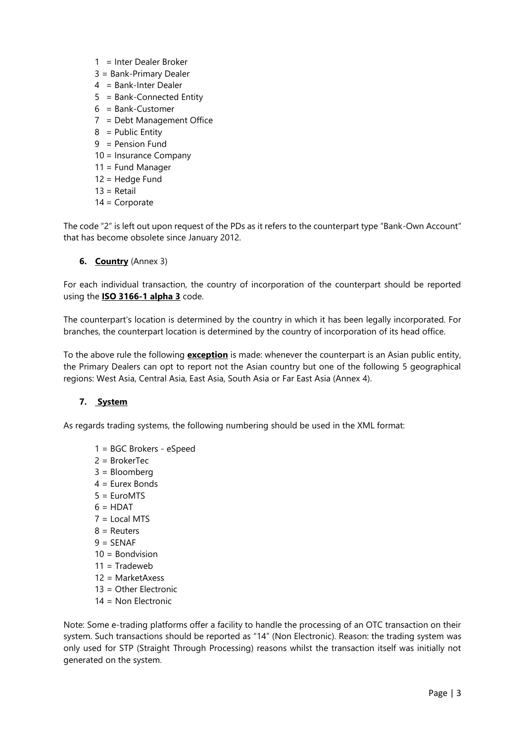- 1 = Inter Dealer Broker
- 3 = Bank-Primary Dealer
- 4 = Bank-Inter Dealer
- 5 = Bank-Connected Entity
- 6 = Bank-Customer
- 7 = Debt Management Office
- $8 =$  Public Entity
- $9 =$  Pension Fund
- 10 = Insurance Company
- 11 = Fund Manager
- 12 = Hedge Fund
- $13 = Retail$
- 14 = Corporate

The code "2" is left out upon request of the PDs as it refers to the counterpart type "Bank-Own Account" that has become obsolete since January 2012.

**6. Country** (Annex 3)

For each individual transaction, the country of incorporation of the counterpart should be reported using the **ISO 3166-1 alpha 3** code.

The counterpart's location is determined by the country in which it has been legally incorporated. For branches, the counterpart location is determined by the country of incorporation of its head office.

To the above rule the following **exception** is made: whenever the counterpart is an Asian public entity, the Primary Dealers can opt to report not the Asian country but one of the following 5 geographical regions: West Asia, Central Asia, East Asia, South Asia or Far East Asia (Annex 4).

## **7. System**

As regards trading systems, the following numbering should be used in the XML format:

- 1 = BGC Brokers eSpeed
- 2 = BrokerTec
- 3 = Bloomberg
- 4 = Eurex Bonds
- 5 = EuroMTS
- $6 = HDAT$
- $7 =$ Local MTS
- $8 =$  Reuters
- $9 =$ SFNAF
- 10 = Bondvision
- $11 = \text{Tradeweb}$
- $12 = \text{MarketA} \times \text{R}$
- 13 = Other Electronic
- 14 = Non Electronic

Note: Some e-trading platforms offer a facility to handle the processing of an OTC transaction on their system. Such transactions should be reported as "14" (Non Electronic). Reason: the trading system was only used for STP (Straight Through Processing) reasons whilst the transaction itself was initially not generated on the system.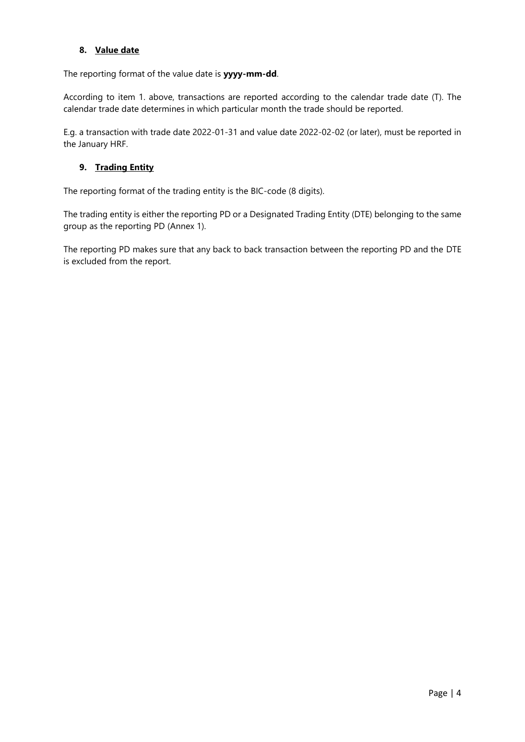#### **8. Value date**

The reporting format of the value date is **yyyy-mm-dd**.

According to item 1. above, transactions are reported according to the calendar trade date (T). The calendar trade date determines in which particular month the trade should be reported.

E.g. a transaction with trade date 2022-01-31 and value date 2022-02-02 (or later), must be reported in the January HRF.

## **9. Trading Entity**

The reporting format of the trading entity is the BIC-code (8 digits).

The trading entity is either the reporting PD or a Designated Trading Entity (DTE) belonging to the same group as the reporting PD (Annex 1).

The reporting PD makes sure that any back to back transaction between the reporting PD and the DTE is excluded from the report.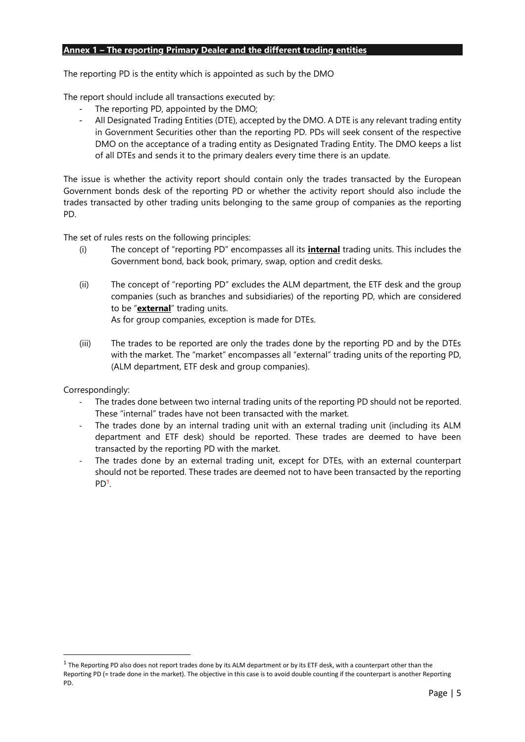#### **Annex 1 – The reporting Primary Dealer and the different trading entities**

The reporting PD is the entity which is appointed as such by the DMO

The report should include all transactions executed by:

- The reporting PD, appointed by the DMO;
- All Designated Trading Entities (DTE), accepted by the DMO. A DTE is any relevant trading entity in Government Securities other than the reporting PD. PDs will seek consent of the respective DMO on the acceptance of a trading entity as Designated Trading Entity. The DMO keeps a list of all DTEs and sends it to the primary dealers every time there is an update.

The issue is whether the activity report should contain only the trades transacted by the European Government bonds desk of the reporting PD or whether the activity report should also include the trades transacted by other trading units belonging to the same group of companies as the reporting PD.

The set of rules rests on the following principles:

- (i) The concept of "reporting PD" encompasses all its **internal** trading units. This includes the Government bond, back book, primary, swap, option and credit desks.
- (ii) The concept of "reporting PD" excludes the ALM department, the ETF desk and the group companies (such as branches and subsidiaries) of the reporting PD, which are considered to be "**external**" trading units. As for group companies, exception is made for DTEs.
- (iii) The trades to be reported are only the trades done by the reporting PD and by the DTEs with the market. The "market" encompasses all "external" trading units of the reporting PD, (ALM department, ETF desk and group companies).

Correspondingly:

**.** 

- The trades done between two internal trading units of the reporting PD should not be reported. These "internal" trades have not been transacted with the market.
- The trades done by an internal trading unit with an external trading unit (including its ALM department and ETF desk) should be reported. These trades are deemed to have been transacted by the reporting PD with the market.
- The trades done by an external trading unit, except for DTEs, with an external counterpart should not be reported. These trades are deemed not to have been transacted by the reporting PD<sup>1</sup> .

 $^1$  The Reporting PD also does not report trades done by its ALM department or by its ETF desk, with a counterpart other than the Reporting PD (= trade done in the market). The objective in this case is to avoid double counting if the counterpart is another Reporting PD.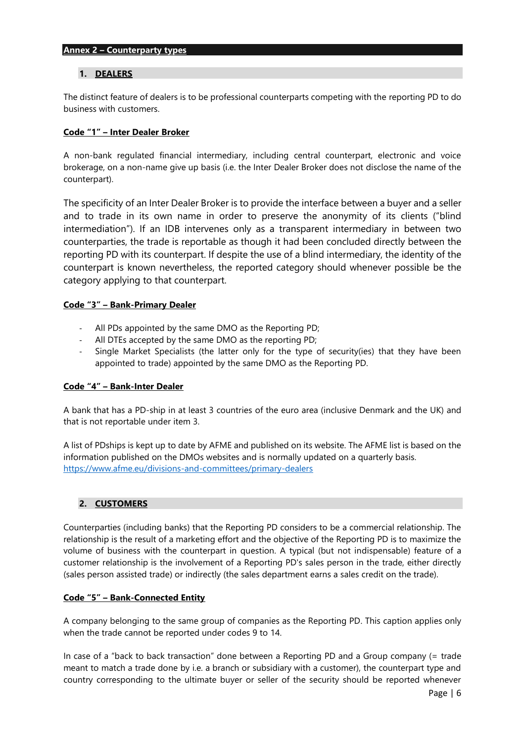#### **Annex 2 – Counterparty types**

#### **1. DEALERS**

The distinct feature of dealers is to be professional counterparts competing with the reporting PD to do business with customers.

#### **Code "1" – Inter Dealer Broker**

A non-bank regulated financial intermediary, including central counterpart, electronic and voice brokerage, on a non-name give up basis (i.e. the Inter Dealer Broker does not disclose the name of the counterpart).

The specificity of an Inter Dealer Broker is to provide the interface between a buyer and a seller and to trade in its own name in order to preserve the anonymity of its clients ("blind intermediation"). If an IDB intervenes only as a transparent intermediary in between two counterparties, the trade is reportable as though it had been concluded directly between the reporting PD with its counterpart. If despite the use of a blind intermediary, the identity of the counterpart is known nevertheless, the reported category should whenever possible be the category applying to that counterpart.

#### **Code "3" – Bank-Primary Dealer**

- All PDs appointed by the same DMO as the Reporting PD;
- All DTEs accepted by the same DMO as the reporting PD;
- Single Market Specialists (the latter only for the type of security(ies) that they have been appointed to trade) appointed by the same DMO as the Reporting PD.

#### **Code "4" – Bank-Inter Dealer**

A bank that has a PD-ship in at least 3 countries of the euro area (inclusive Denmark and the UK) and that is not reportable under item 3.

A list of PDships is kept up to date by AFME and published on its website. The AFME list is based on the information published on the DMOs websites and is normally updated on a quarterly basis. <https://www.afme.eu/divisions-and-committees/primary-dealers>

#### **2. CUSTOMERS**

Counterparties (including banks) that the Reporting PD considers to be a commercial relationship. The relationship is the result of a marketing effort and the objective of the Reporting PD is to maximize the volume of business with the counterpart in question. A typical (but not indispensable) feature of a customer relationship is the involvement of a Reporting PD's sales person in the trade, either directly (sales person assisted trade) or indirectly (the sales department earns a sales credit on the trade).

#### **Code "5" – Bank-Connected Entity**

A company belonging to the same group of companies as the Reporting PD. This caption applies only when the trade cannot be reported under codes 9 to 14.

In case of a "back to back transaction" done between a Reporting PD and a Group company (= trade meant to match a trade done by i.e. a branch or subsidiary with a customer), the counterpart type and country corresponding to the ultimate buyer or seller of the security should be reported whenever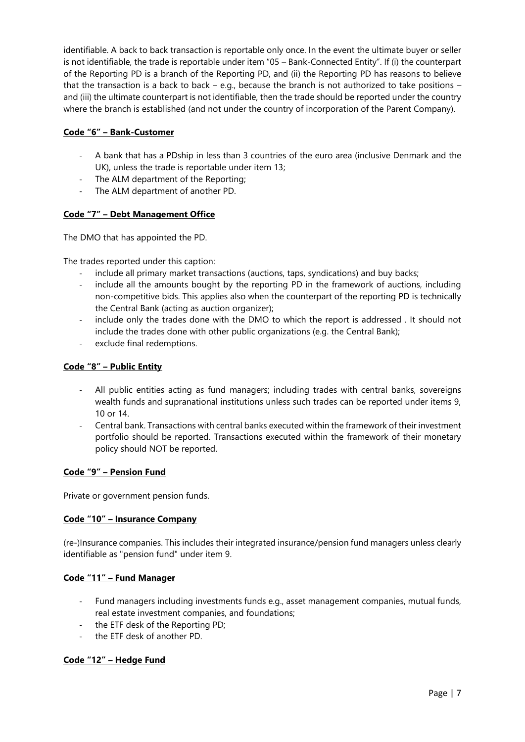identifiable. A back to back transaction is reportable only once. In the event the ultimate buyer or seller is not identifiable, the trade is reportable under item "05 – Bank-Connected Entity". If (i) the counterpart of the Reporting PD is a branch of the Reporting PD, and (ii) the Reporting PD has reasons to believe that the transaction is a back to back – e.g., because the branch is not authorized to take positions – and (iii) the ultimate counterpart is not identifiable, then the trade should be reported under the country where the branch is established (and not under the country of incorporation of the Parent Company).

### **Code "6" – Bank-Customer**

- A bank that has a PDship in less than 3 countries of the euro area (inclusive Denmark and the UK), unless the trade is reportable under item 13;
- The ALM department of the Reporting;
- The ALM department of another PD.

#### **Code "7" – Debt Management Office**

The DMO that has appointed the PD.

The trades reported under this caption:

- include all primary market transactions (auctions, taps, syndications) and buy backs;
- include all the amounts bought by the reporting PD in the framework of auctions, including non-competitive bids. This applies also when the counterpart of the reporting PD is technically the Central Bank (acting as auction organizer);
- include only the trades done with the DMO to which the report is addressed. It should not include the trades done with other public organizations (e.g. the Central Bank);
- exclude final redemptions.

#### **Code "8" – Public Entity**

- All public entities acting as fund managers; including trades with central banks, sovereigns wealth funds and supranational institutions unless such trades can be reported under items 9, 10 or 14.
- Central bank. Transactions with central banks executed within the framework of their investment portfolio should be reported. Transactions executed within the framework of their monetary policy should NOT be reported.

#### **Code "9" – Pension Fund**

Private or government pension funds.

#### **Code "10" – Insurance Company**

(re-)Insurance companies. This includes their integrated insurance/pension fund managers unless clearly identifiable as "pension fund" under item 9.

#### **Code "11" – Fund Manager**

- Fund managers including investments funds e.g., asset management companies, mutual funds, real estate investment companies, and foundations;
- the ETF desk of the Reporting PD;
- the ETF desk of another PD.

#### **Code "12" – Hedge Fund**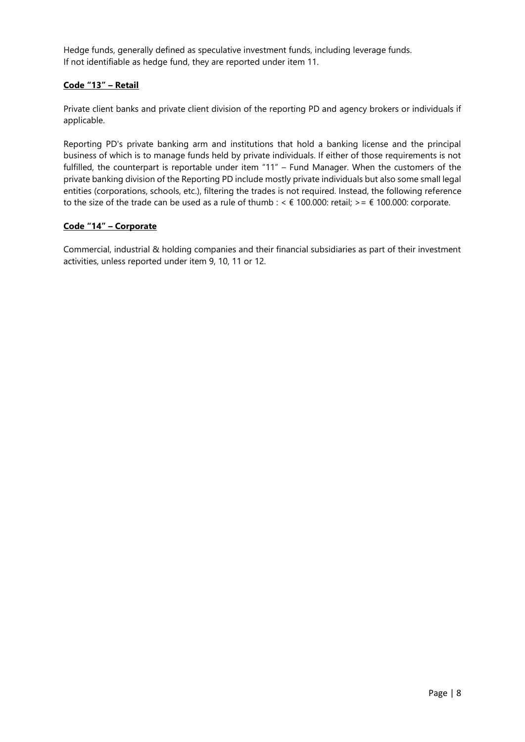Hedge funds, generally defined as speculative investment funds, including leverage funds. If not identifiable as hedge fund, they are reported under item 11.

#### **Code "13" – Retail**

Private client banks and private client division of the reporting PD and agency brokers or individuals if applicable.

Reporting PD's private banking arm and institutions that hold a banking license and the principal business of which is to manage funds held by private individuals. If either of those requirements is not fulfilled, the counterpart is reportable under item "11" – Fund Manager. When the customers of the private banking division of the Reporting PD include mostly private individuals but also some small legal entities (corporations, schools, etc.), filtering the trades is not required. Instead, the following reference to the size of the trade can be used as a rule of thumb : <  $\epsilon$  100.000: retail; > =  $\epsilon$  100.000: corporate.

#### **Code "14" – Corporate**

Commercial, industrial & holding companies and their financial subsidiaries as part of their investment activities, unless reported under item 9, 10, 11 or 12.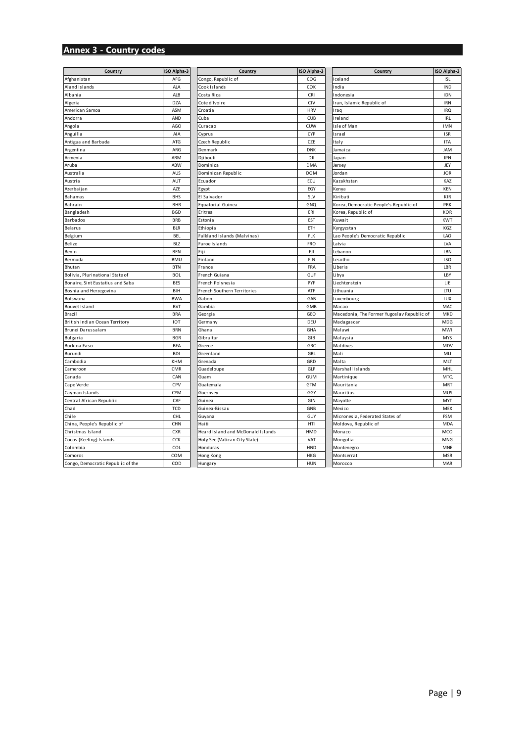# **Annex 3 - Country codes**

| Afghanistan                       | AFG        |                                   |            |                                            |            |
|-----------------------------------|------------|-----------------------------------|------------|--------------------------------------------|------------|
|                                   |            | Congo, Republic of                | COG        | Iceland                                    | <b>ISL</b> |
| Aland Islands                     | <b>ALA</b> | Cook Islands                      | COK        | India                                      | IND        |
| Albania                           | ALB        | Costa Rica                        | CRI        | Indonesia                                  | <b>IDN</b> |
| Algeria                           | <b>DZA</b> | Cote d'Ivoire                     | CIV        | Iran, Islamic Republic of                  | <b>IRN</b> |
| American Samoa                    | ASM        | Croatia                           | <b>HRV</b> | Iraq                                       | <b>IRQ</b> |
| Andorra                           | AND        | Cuba                              | <b>CUB</b> | Ireland                                    | IRL        |
| Angola                            | AGO        | Curacao                           | CUW        | Isle of Man                                | <b>IMN</b> |
| Anguilla                          | AIA        | Cyprus                            | CYP        | Israel                                     | <b>ISR</b> |
| Antigua and Barbuda               | ATG        | Czech Republic                    | CZE        | Italy                                      | <b>ITA</b> |
| Argentina                         | ARG        | Denmark                           | <b>DNK</b> | Jamaica                                    | <b>JAM</b> |
| Armenia                           | ARM        | Djibouti                          | DJI        | Japan                                      | <b>JPN</b> |
| Aruba                             | ABW        | Dominica                          | <b>DMA</b> | Jersey                                     | JEY        |
| Australia                         | <b>AUS</b> | Dominican Republic                | <b>DOM</b> | Jordan                                     | <b>JOR</b> |
| Austria                           | AUT        | Ecuador                           | ECU        | Kazakhstan                                 | KAZ        |
| Azerbaijan                        | AZE        | Egypt                             | EGY        | Kenya                                      | <b>KEN</b> |
| Bahamas                           | <b>BHS</b> | El Salvador                       | SLV        | Kiribati                                   | <b>KIR</b> |
| Bahrain                           | <b>BHR</b> | Equatorial Guinea                 | GNQ        | Korea, Democratic People's Republic of     | PRK        |
| Bangladesh                        | <b>BGD</b> | Eritrea                           | ERI        | Korea, Republic of                         | KOR        |
| Barbados                          | <b>BRB</b> | Estonia                           | <b>EST</b> | Kuwait                                     | <b>KWT</b> |
| Belarus                           | <b>BLR</b> | Ethiopia                          | ETH        | Kyrgyzstan                                 | KGZ        |
| Belgium                           | <b>BEL</b> | Falkland Islands (Malvinas)       | <b>FLK</b> | Lao People's Democratic Republic           | LAO        |
| Belize                            | <b>BLZ</b> | Faroe Islands                     | <b>FRO</b> | Latvia                                     | LVA        |
| Benin                             | <b>BEN</b> | Fiji                              | FJI        | Lebanon                                    | LBN        |
| Bermuda                           | <b>BMU</b> | Finland                           | <b>FIN</b> | Lesotho                                    | LSO        |
| Bhutan                            | <b>BTN</b> | France                            | <b>FRA</b> | Liberia                                    | LBR        |
| Bolivia, Plurinational State of   | <b>BOL</b> | French Guiana                     | GUF        | Li bya                                     | LBY        |
| Bonaire, Sint Eustatius and Saba  | <b>BES</b> | French Polynesia                  | PYF        | Li echtenstei n                            | LIE        |
| Bosnia and Herzegovina            | BIH        | French Southern Territories       | ATF        | Lithuania                                  | LTU        |
| <b>Botswana</b>                   | <b>BWA</b> | Gabon                             | GAB        | Luxembourg                                 | LUX        |
| <b>Bouvet Island</b>              | <b>BVT</b> | Gambia                            | <b>GMB</b> | Macao                                      | MAC        |
| Brazil                            | <b>BRA</b> | Georgia                           | GEO        | Macedonia, The Former Yugoslav Republic of | MKD        |
| British Indian Ocean Territory    | <b>IOT</b> | Germany                           | DEU        | Madagascar                                 | MDG        |
| Brunei Darussalam                 | <b>BRN</b> | Ghana                             | GHA        | Malawi                                     | MWI        |
| Bulgaria                          | <b>BGR</b> | Gibraltar                         | GIB        | Malaysia                                   | <b>MYS</b> |
| Burkina Faso                      | <b>BFA</b> | Greece                            | GRC        | Maldives                                   | MDV        |
| Burundi                           | <b>BDI</b> | Greenland                         | GRL        | Mali                                       | MLI        |
| Cambodia                          | <b>KHM</b> | Grenada                           | GRD        | Malta                                      | MLT        |
| Cameroon                          | CMR        | Guadeloupe                        | GLP        | Marshall Islands                           | MHL        |
| Canada                            | CAN        | Guam                              | <b>GUM</b> | Martinique                                 | <b>MTQ</b> |
| Cape Verde                        | CPV        | Guatemala                         | GTM        | Mauritania                                 | MRT        |
| Cayman Islands                    | <b>CYM</b> | Guernsey                          | GGY        | Mauritius                                  | MUS        |
| Central African Republic          | CAF        | Guinea                            | GIN        | Mayotte                                    | <b>MYT</b> |
| Chad                              | <b>TCD</b> | Guinea-Bissau                     | GNB        | Mexico                                     | <b>MEX</b> |
| Chile                             | <b>CHL</b> | Guyana                            | GUY        | Micronesia, Federated States of            | <b>FSM</b> |
| China, People's Republic of       | CHN        | Haiti                             | HTI        | Moldova, Republic of                       | MDA        |
| Christmas Island                  | <b>CXR</b> | Heard Island and McDonald Islands | HMD        | Monaco                                     | MCO        |
| Cocos (Keeling) Islands           | CCK        | Holy See (Vatican City State)     | VAT        | Mongolia                                   | <b>MNG</b> |
| Colombia                          | COL        | Honduras                          | <b>HND</b> | Montenegro                                 | <b>MNE</b> |
| Comoros                           | COM        | Hong Kong                         | <b>HKG</b> | Montserrat                                 | <b>MSR</b> |
| Congo, Democratic Republic of the | COD        | Hungary                           | <b>HUN</b> | Morocco                                    | MAR        |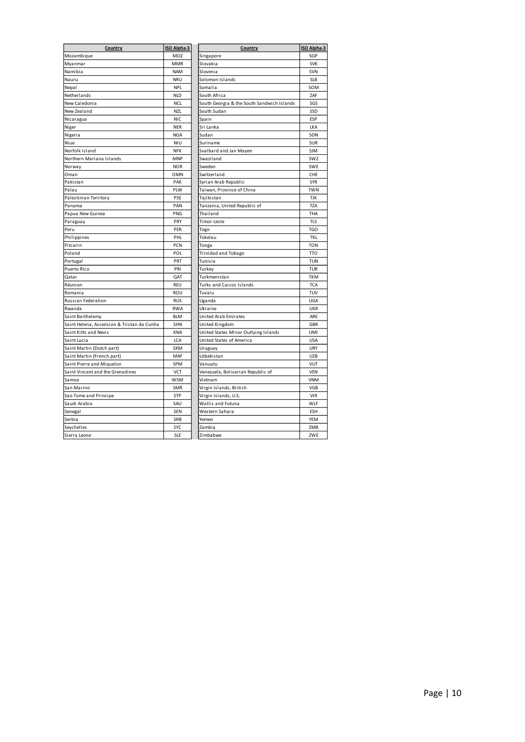| Mozambique<br>MOZ<br>Singapore<br><b>MMR</b><br>Slovakia<br>Myanmar<br>Namibia<br><b>NAM</b><br>Slovenia<br>Nauru<br><b>NRU</b><br>Solomon Islands<br>Nepal<br><b>NPL</b><br>Somalia | SGP<br><b>SVK</b><br>SVN<br><b>SLB</b><br>SOM<br>ZAF |
|--------------------------------------------------------------------------------------------------------------------------------------------------------------------------------------|------------------------------------------------------|
|                                                                                                                                                                                      |                                                      |
|                                                                                                                                                                                      |                                                      |
|                                                                                                                                                                                      |                                                      |
|                                                                                                                                                                                      |                                                      |
|                                                                                                                                                                                      |                                                      |
| Netherlands<br><b>NLD</b><br>South Africa                                                                                                                                            |                                                      |
| New Caledonia<br><b>NCL</b><br>South Georgia & the South Sandwich Islands                                                                                                            | SGS                                                  |
| New Zealand<br><b>NZL</b><br>South Sudan                                                                                                                                             | SSD                                                  |
| Nicaragua<br><b>NIC</b><br>Spain                                                                                                                                                     | <b>ESP</b>                                           |
| <b>NER</b><br>Sri Lanka<br>Niger                                                                                                                                                     | LKA                                                  |
| Sudan<br>Nigeria<br><b>NGA</b>                                                                                                                                                       | SDN                                                  |
| Niue<br><b>NIU</b><br>Suriname                                                                                                                                                       | <b>SUR</b>                                           |
| Norfolk Island<br>Svalbard and Jan Mayen<br><b>NFK</b>                                                                                                                               | <b>SJM</b>                                           |
| Northern Mariana Islands<br><b>MNP</b><br>Swaziland                                                                                                                                  | SWZ                                                  |
| <b>NOR</b><br>Sweden<br>Norway                                                                                                                                                       | SWE                                                  |
| Oman<br><b>OMN</b><br>Switzerland                                                                                                                                                    | CHE                                                  |
| Pakistan<br>PAK<br>Syrian Arab Republic                                                                                                                                              | <b>SYR</b>                                           |
| Palau<br>PLW<br>Taiwan, Province of China                                                                                                                                            | <b>TWN</b>                                           |
| Palestinian Territory<br>PSE<br>Tajikistan                                                                                                                                           | <b>TJK</b>                                           |
| PAN<br>Tanzania, United Republic of<br>Panama                                                                                                                                        | <b>TZA</b>                                           |
| Papua New Guinea<br>PNG<br>Thailand                                                                                                                                                  | THA                                                  |
| PRY<br>Timor-Leste<br>Paraguay                                                                                                                                                       | <b>TLS</b>                                           |
| Peru<br>PER<br>Togo                                                                                                                                                                  | <b>TGO</b>                                           |
| PHL<br>Philippines<br>Tokelau                                                                                                                                                        | <b>TKL</b>                                           |
| Pitcairn<br>PCN<br>Tonga                                                                                                                                                             | <b>TON</b>                                           |
| Poland<br>POL<br>Trinidad and Tobago                                                                                                                                                 | TT <sub>0</sub>                                      |
| Portugal<br>PRT<br>Tunisia                                                                                                                                                           | <b>TUN</b>                                           |
| PRI<br>Puerto Rico<br>Turkey                                                                                                                                                         | <b>TUR</b>                                           |
| Turkmenistan<br>QAT<br>Qatar                                                                                                                                                         | <b>TKM</b>                                           |
| <b>REU</b><br>Turks and Caicos Islands<br>Réunion                                                                                                                                    | <b>TCA</b>                                           |
| Tuvalu<br>Romania<br>ROU                                                                                                                                                             | TUV                                                  |
| <b>RUS</b><br>Russian Federation<br>Uganda                                                                                                                                           | <b>UGA</b>                                           |
| Rwanda<br><b>RWA</b><br>Ukraine                                                                                                                                                      | <b>UKR</b>                                           |
| <b>BLM</b><br><b>United Arab Emirates</b><br>Saint Barthelemy                                                                                                                        | ARE                                                  |
| Saint Helena, Ascension & Tristan da Cunha<br>SHN<br>United Kingdom                                                                                                                  | <b>GBR</b>                                           |
| Saint Kitts and Nevis<br>KNA<br>United States Minor Outlying Islands                                                                                                                 | UMI                                                  |
| LCA<br>United States of America<br>Saint Lucia                                                                                                                                       | <b>USA</b>                                           |
| <b>SXM</b><br>Saint Martin (Dutch part)<br>Uruguay                                                                                                                                   | <b>URY</b>                                           |
| Saint Martin (French part)<br>MAF<br>Uzbekistan                                                                                                                                      | <b>UZB</b>                                           |
| Saint Pierre and Miguelon<br>SPM<br>Vanuatu                                                                                                                                          | VUT                                                  |
| Saint Vincent and the Grenadines<br><b>VCT</b><br>Venezuela, Bolivarian Republic of                                                                                                  | <b>VEN</b>                                           |
| <b>WSM</b><br>Samoa<br>Vietnam                                                                                                                                                       | <b>VNM</b>                                           |
| Virgin Islands, British<br>San Marino<br>SMR                                                                                                                                         | VGB                                                  |
| <b>STP</b><br>Sao Tome and Principe<br>Virgin Islands, U.S.                                                                                                                          | <b>VIR</b>                                           |
| Saudi Arabia<br>Wallis and Futuna<br>SAU                                                                                                                                             | WLF                                                  |
| <b>SEN</b><br>Western Sahara<br>Senegal                                                                                                                                              | <b>ESH</b>                                           |
| Serbia<br>SRB<br>Yemen                                                                                                                                                               | <b>YEM</b>                                           |
| Seychelles<br>SYC<br>Zambia                                                                                                                                                          | ZMB                                                  |
| Sierra Leone<br><b>SLE</b><br>Zimbabwe                                                                                                                                               | ZWE                                                  |